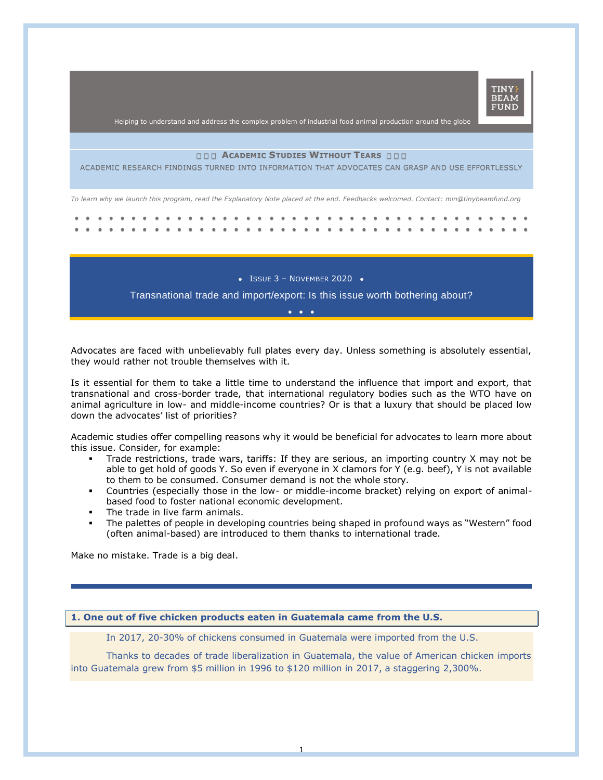

Helping to understand and address the complex problem of industrial food animal production around the globe

### **ACADEMIC STUDIES WITHOUT TEARS**

ACADEMIC RESEARCH FINDINGS TURNED INTO INFORMATION THAT ADVOCATES CAN GRASP AND USE EFFORTLESSLY

*To learn why we launch this program, read the Explanatory Note placed at the end. Feedbacks welcomed. Contact: min@tinybeamfund.org* 

 $\bullet$  ISSUE 3 - NOVEMBER 2020  $\bullet$ 

Transnational trade and import/export: Is this issue worth bothering about? •••

Advocates are faced with unbelievably full plates every day. Unless something is absolutely essential, they would rather not trouble themselves with it.

Is it essential for them to take a little time to understand the influence that import and export, that transnational and cross-border trade, that international regulatory bodies such as the WTO have on animal agriculture in low- and middle-income countries? Or is that a luxury that should be placed low down the advocates' list of priorities?

Academic studies offer compelling reasons why it would be beneficial for advocates to learn more about this issue. Consider, for example:

- Trade restrictions, trade wars, tariffs: If they are serious, an importing country X may not be able to get hold of goods Y. So even if everyone in X clamors for Y (e.g. beef), Y is not available to them to be consumed. Consumer demand is not the whole story.
- Countries (especially those in the low- or middle-income bracket) relying on export of animalbased food to foster national economic development.
- The trade in live farm animals.
- The palettes of people in developing countries being shaped in profound ways as "Western" food (often animal-based) are introduced to them thanks to international trade.

Make no mistake. Trade is a big deal.

# **1. One out of five chicken products eaten in Guatemala came from the U.S.**

In 2017, 20-30% of chickens consumed in Guatemala were imported from the U.S.

Thanks to decades of trade liberalization in Guatemala, the value of American chicken imports into Guatemala grew from \$5 million in 1996 to \$120 million in 2017, a staggering 2,300%.

1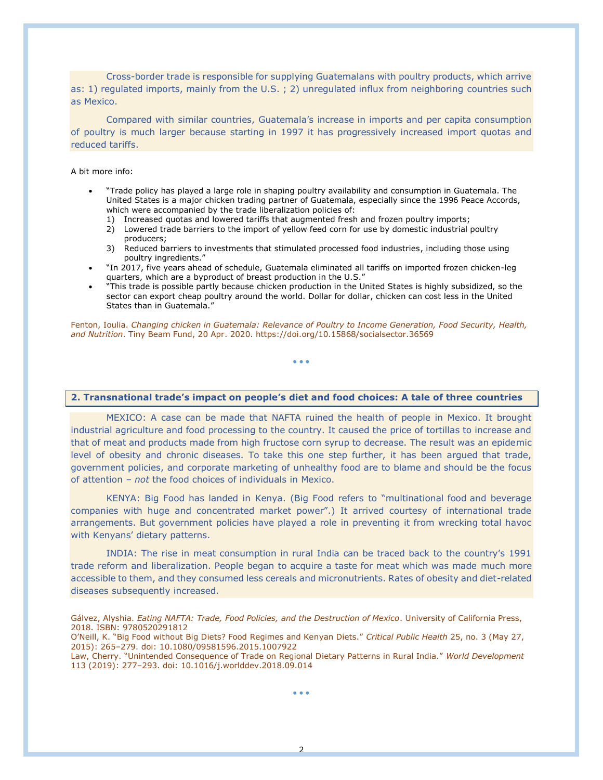Cross-border trade is responsible for supplying Guatemalans with poultry products, which arrive as: 1) regulated imports, mainly from the U.S. ; 2) unregulated influx from neighboring countries such as Mexico.

Compared with similar countries, Guatemala's increase in imports and per capita consumption of poultry is much larger because starting in 1997 it has progressively increased import quotas and reduced tariffs.

#### A bit more info:

- "Trade policy has played a large role in shaping poultry availability and consumption in Guatemala. The United States is a major chicken trading partner of Guatemala, especially since the 1996 Peace Accords, which were accompanied by the trade liberalization policies of:
	- 1) Increased quotas and lowered tariffs that augmented fresh and frozen poultry imports;
	- 2) Lowered trade barriers to the import of yellow feed corn for use by domestic industrial poultry producers;
	- 3) Reduced barriers to investments that stimulated processed food industries, including those using poultry ingredients."
- "In 2017, five years ahead of schedule, Guatemala eliminated all tariffs on imported frozen chicken-leg quarters, which are a byproduct of breast production in the U.S."
- "This trade is possible partly because chicken production in the United States is highly subsidized, so the sector can export cheap poultry around the world. Dollar for dollar, chicken can cost less in the United States than in Guatemala."

Fenton, Ioulia. *Changing chicken in Guatemala: Relevance of Poultry to Income Generation, Food Security, Health, and Nutrition*. Tiny Beam Fund, 20 Apr. 2020. https://doi.org/10.15868/socialsector.36569

• • •

### **2. Transnational trade's impact on people's diet and food choices: A tale of three countries**

MEXICO: A case can be made that NAFTA ruined the health of people in Mexico. It brought industrial agriculture and food processing to the country. It caused the price of tortillas to increase and that of meat and products made from high fructose corn syrup to decrease. The result was an epidemic level of obesity and chronic diseases. To take this one step further, it has been argued that trade, government policies, and corporate marketing of unhealthy food are to blame and should be the focus of attention – *not* the food choices of individuals in Mexico.

KENYA: Big Food has landed in Kenya. (Big Food refers to "multinational food and beverage companies with huge and concentrated market power".) It arrived courtesy of international trade arrangements. But government policies have played a role in preventing it from wrecking total havoc with Kenyans' dietary patterns.

INDIA: The rise in meat consumption in rural India can be traced back to the country's 1991 trade reform and liberalization. People began to acquire a taste for meat which was made much more accessible to them, and they consumed less cereals and micronutrients. Rates of obesity and diet-related diseases subsequently increased.

O'Neill, K. "Big Food without Big Diets? Food Regimes and Kenyan Diets." *Critical Public Health* 25, no. 3 (May 27, 2015): 265–279. doi: 10.1080/09581596.2015.1007922

Law, Cherry. "Unintended Consequence of Trade on Regional Dietary Patterns in Rural India." *World Development* 113 (2019): 277–293. doi: 10.1016/j.worlddev.2018.09.014

• • •

Gálvez, Alyshia. *Eating NAFTA: Trade, Food Policies, and the Destruction of Mexico*. University of California Press, 2018. ISBN: 9780520291812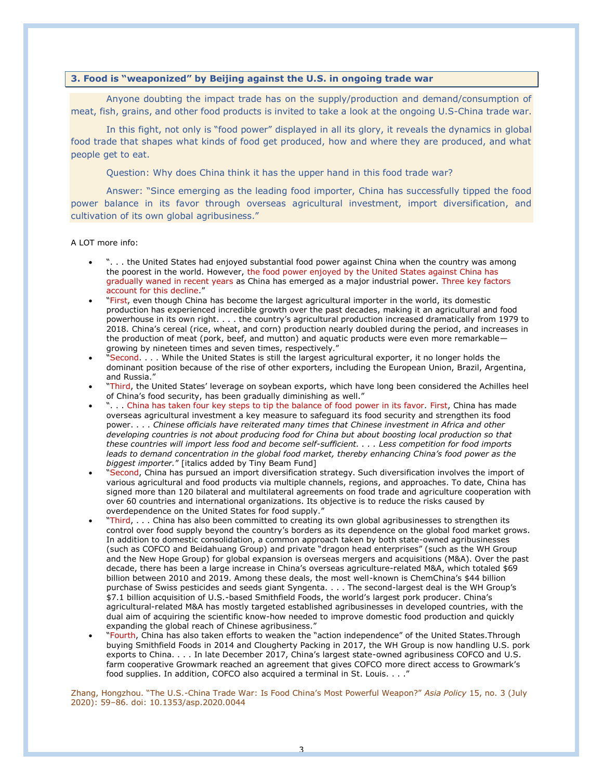# **3. Food is "weaponized" by Beijing against the U.S. in ongoing trade war**

Anyone doubting the impact trade has on the supply/production and demand/consumption of meat, fish, grains, and other food products is invited to take a look at the ongoing U.S-China trade war.

In this fight, not only is "food power" displayed in all its glory, it reveals the dynamics in global food trade that shapes what kinds of food get produced, how and where they are produced, and what people get to eat.

Question: Why does China think it has the upper hand in this food trade war?

Answer: "Since emerging as the leading food importer, China has successfully tipped the food power balance in its favor through overseas agricultural investment, import diversification, and cultivation of its own global agribusiness."

A LOT more info:

- ". . . the United States had enjoyed substantial food power against China when the country was among the poorest in the world. However, the food power enjoyed by the United States against China has gradually waned in recent years as China has emerged as a major industrial power. Three key factors account for this decline."
- "First, even though China has become the largest agricultural importer in the world, its domestic production has experienced incredible growth over the past decades, making it an agricultural and food powerhouse in its own right. . . . the country's agricultural production increased dramatically from 1979 to 2018. China's cereal (rice, wheat, and corn) production nearly doubled during the period, and increases in the production of meat (pork, beef, and mutton) and aquatic products were even more remarkable growing by nineteen times and seven times, respectively."
- "Second. . . . While the United States is still the largest agricultural exporter, it no longer holds the dominant position because of the rise of other exporters, including the European Union, Brazil, Argentina, and Russia."
- "Third, the United States' leverage on soybean exports, which have long been considered the Achilles heel of China's food security, has been gradually diminishing as well."
- ". . . China has taken four key steps to tip the balance of food power in its favor*.* First, China has made overseas agricultural investment a key measure to safeguard its food security and strengthen its food power. . . . *Chinese officials have reiterated many times that Chinese investment in Africa and other developing countries is not about producing food for China but about boosting local production so that these countries will import less food and become self-sufficient. . . . Less competition for food imports leads to demand concentration in the global food market, thereby enhancing China's food power as the biggest importer.*" [italics added by Tiny Beam Fund]
- "Second, China has pursued an import diversification strategy. Such diversification involves the import of various agricultural and food products via multiple channels, regions, and approaches. To date, China has signed more than 120 bilateral and multilateral agreements on food trade and agriculture cooperation with over 60 countries and international organizations. Its objective is to reduce the risks caused by overdependence on the United States for food supply."
- "Third, . . . China has also been committed to creating its own global agribusinesses to strengthen its control over food supply beyond the country's borders as its dependence on the global food market grows. In addition to domestic consolidation, a common approach taken by both state-owned agribusinesses (such as COFCO and Beidahuang Group) and private "dragon head enterprises" (such as the WH Group and the New Hope Group) for global expansion is overseas mergers and acquisitions (M&A). Over the past decade, there has been a large increase in China's overseas agriculture-related M&A, which totaled \$69 billion between 2010 and 2019. Among these deals, the most well-known is ChemChina's \$44 billion purchase of Swiss pesticides and seeds giant Syngenta. . . . The second-largest deal is the WH Group's \$7.1 billion acquisition of U.S.-based Smithfield Foods, the world's largest pork producer. China's agricultural-related M&A has mostly targeted established agribusinesses in developed countries, with the dual aim of acquiring the scientific know-how needed to improve domestic food production and quickly expanding the global reach of Chinese agribusiness."
- "Fourth, China has also taken efforts to weaken the "action independence" of the United States.Through buying Smithfield Foods in 2014 and Clougherty Packing in 2017, the WH Group is now handling U.S. pork exports to China. . . . In late December 2017, China's largest state-owned agribusiness COFCO and U.S. farm cooperative Growmark reached an agreement that gives COFCO more direct access to Growmark's food supplies. In addition, COFCO also acquired a terminal in St. Louis. . . ."

Zhang, Hongzhou. "The U.S.-China Trade War: Is Food China's Most Powerful Weapon?" *Asia Policy* 15, no. 3 (July 2020): 59–86. doi: 10.1353/asp.2020.0044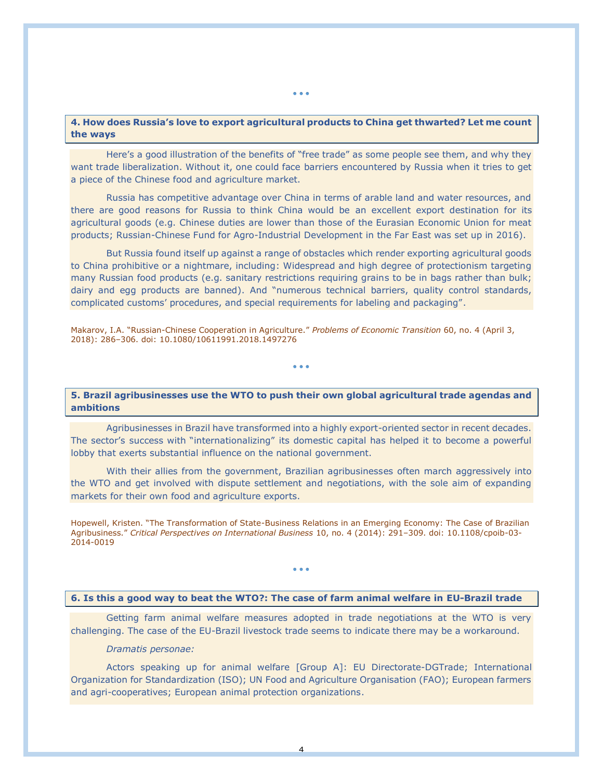# **4. How does Russia's love to export agricultural products to China get thwarted? Let me count the ways**

Here's a good illustration of the benefits of "free trade" as some people see them, and why they want trade liberalization. Without it, one could face barriers encountered by Russia when it tries to get a piece of the Chinese food and agriculture market.

Russia has competitive advantage over China in terms of arable land and water resources, and there are good reasons for Russia to think China would be an excellent export destination for its agricultural goods (e.g. Chinese duties are lower than those of the Eurasian Economic Union for meat products; Russian-Chinese Fund for Agro-Industrial Development in the Far East was set up in 2016).

But Russia found itself up against a range of obstacles which render exporting agricultural goods to China prohibitive or a nightmare, including: Widespread and high degree of protectionism targeting many Russian food products (e.g. sanitary restrictions requiring grains to be in bags rather than bulk; dairy and egg products are banned). And "numerous technical barriers, quality control standards, complicated customs' procedures, and special requirements for labeling and packaging".

Makarov, I.A. "Russian-Chinese Cooperation in Agriculture." *Problems of Economic Transition* 60, no. 4 (April 3, 2018): 286–306. doi: 10.1080/10611991.2018.1497276

**5. Brazil agribusinesses use the WTO to push their own global agricultural trade agendas and ambitions**

• • •

Agribusinesses in Brazil have transformed into a highly export-oriented sector in recent decades. The sector's success with "internationalizing" its domestic capital has helped it to become a powerful lobby that exerts substantial influence on the national government.

With their allies from the government, Brazilian agribusinesses often march aggressively into the WTO and get involved with dispute settlement and negotiations, with the sole aim of expanding markets for their own food and agriculture exports.

Hopewell, Kristen. "The Transformation of State-Business Relations in an Emerging Economy: The Case of Brazilian Agribusiness." *Critical Perspectives on International Business* 10, no. 4 (2014): 291–309. doi: 10.1108/cpoib-03- 2014-0019

• • •

### **6. Is this a good way to beat the WTO?: The case of farm animal welfare in EU-Brazil trade**

Getting farm animal welfare measures adopted in trade negotiations at the WTO is very challenging. The case of the EU-Brazil livestock trade seems to indicate there may be a workaround.

### *Dramatis personae:*

Actors speaking up for animal welfare [Group A]: EU Directorate-DGTrade; International Organization for Standardization (ISO); UN Food and Agriculture Organisation (FAO); European farmers and agri-cooperatives; European animal protection organizations.

4

• • •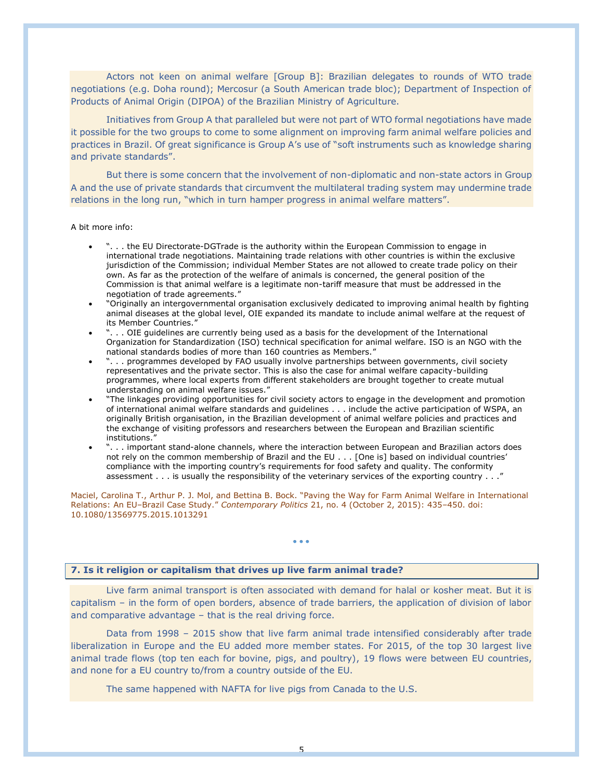Actors not keen on animal welfare [Group B]: Brazilian delegates to rounds of WTO trade negotiations (e.g. Doha round); Mercosur (a South American trade bloc); Department of Inspection of Products of Animal Origin (DIPOA) of the Brazilian Ministry of Agriculture.

Initiatives from Group A that paralleled but were not part of WTO formal negotiations have made it possible for the two groups to come to some alignment on improving farm animal welfare policies and practices in Brazil. Of great significance is Group A's use of "soft instruments such as knowledge sharing and private standards".

But there is some concern that the involvement of non-diplomatic and non-state actors in Group A and the use of private standards that circumvent the multilateral trading system may undermine trade relations in the long run, "which in turn hamper progress in animal welfare matters".

#### A bit more info:

- ". . . the EU Directorate-DGTrade is the authority within the European Commission to engage in international trade negotiations. Maintaining trade relations with other countries is within the exclusive jurisdiction of the Commission; individual Member States are not allowed to create trade policy on their own. As far as the protection of the welfare of animals is concerned, the general position of the Commission is that animal welfare is a legitimate non-tariff measure that must be addressed in the negotiation of trade agreements."
- "Originally an intergovernmental organisation exclusively dedicated to improving animal health by fighting animal diseases at the global level, OIE expanded its mandate to include animal welfare at the request of its Member Countries."
- ". . . OIE guidelines are currently being used as a basis for the development of the International Organization for Standardization (ISO) technical specification for animal welfare. ISO is an NGO with the national standards bodies of more than 160 countries as Members."
- ". . . programmes developed by FAO usually involve partnerships between governments, civil society representatives and the private sector. This is also the case for animal welfare capacity-building programmes, where local experts from different stakeholders are brought together to create mutual understanding on animal welfare issues."
- "The linkages providing opportunities for civil society actors to engage in the development and promotion of international animal welfare standards and guidelines . . . include the active participation of WSPA, an originally British organisation, in the Brazilian development of animal welfare policies and practices and the exchange of visiting professors and researchers between the European and Brazilian scientific institutions."
- ". . . important stand-alone channels, where the interaction between European and Brazilian actors does not rely on the common membership of Brazil and the EU . . . [One is] based on individual countries' compliance with the importing country's requirements for food safety and quality. The conformity assessment . . . is usually the responsibility of the veterinary services of the exporting country . . ."

Maciel, Carolina T., Arthur P. J. Mol, and Bettina B. Bock. "Paving the Way for Farm Animal Welfare in International Relations: An EU–Brazil Case Study." *Contemporary Politics* 21, no. 4 (October 2, 2015): 435–450. doi: 10.1080/13569775.2015.1013291

• • •

## **7. Is it religion or capitalism that drives up live farm animal trade?**

Live farm animal transport is often associated with demand for halal or kosher meat. But it is capitalism – in the form of open borders, absence of trade barriers, the application of division of labor and comparative advantage – that is the real driving force.

Data from 1998 – 2015 show that live farm animal trade intensified considerably after trade liberalization in Europe and the EU added more member states. For 2015, of the top 30 largest live animal trade flows (top ten each for bovine, pigs, and poultry), 19 flows were between EU countries, and none for a EU country to/from a country outside of the EU.

The same happened with NAFTA for live pigs from Canada to the U.S.